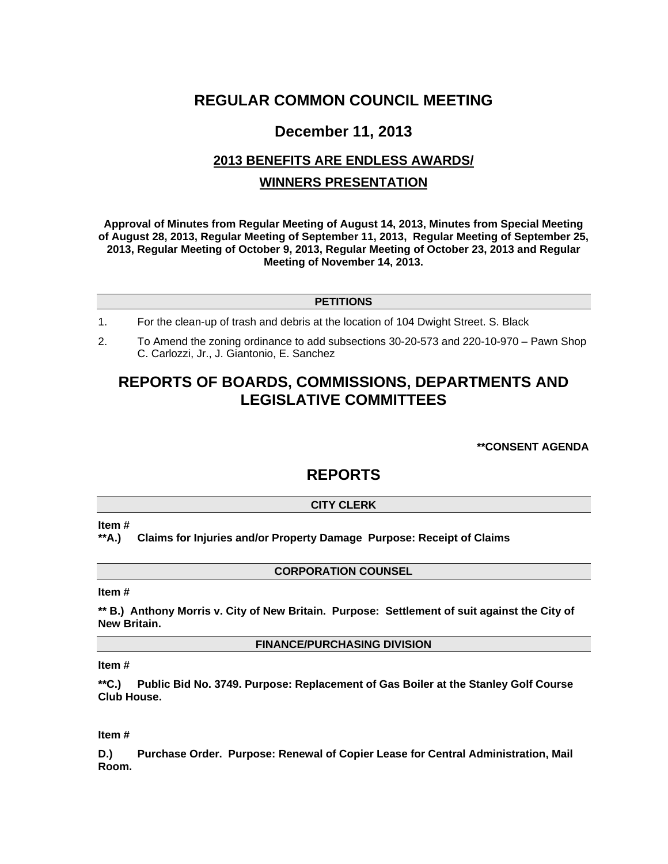# **REGULAR COMMON COUNCIL MEETING**

## **December 11, 2013**

# **2013 BENEFITS ARE ENDLESS AWARDS/ WINNERS PRESENTATION**

**Approval of Minutes from Regular Meeting of August 14, 2013, Minutes from Special Meeting of August 28, 2013, Regular Meeting of September 11, 2013, Regular Meeting of September 25, 2013, Regular Meeting of October 9, 2013, Regular Meeting of October 23, 2013 and Regular Meeting of November 14, 2013.** 

## **PETITIONS**

- 1. For the clean-up of trash and debris at the location of 104 Dwight Street. S. Black
- 2. To Amend the zoning ordinance to add subsections 30-20-573 and 220-10-970 Pawn Shop C. Carlozzi, Jr., J. Giantonio, E. Sanchez

# **REPORTS OF BOARDS, COMMISSIONS, DEPARTMENTS AND LEGISLATIVE COMMITTEES**

**\*\*CONSENT AGENDA** 

## **REPORTS**

## **CITY CLERK**

**Item #** 

**\*\*A.) Claims for Injuries and/or Property Damage Purpose: Receipt of Claims** 

## **CORPORATION COUNSEL**

## **Item #**

**\*\* B.) Anthony Morris v. City of New Britain. Purpose: Settlement of suit against the City of New Britain.** 

**FINANCE/PURCHASING DIVISION** 

## **Item #**

**\*\*C.) Public Bid No. 3749. Purpose: Replacement of Gas Boiler at the Stanley Golf Course Club House.** 

#### **Item #**

**D.) Purchase Order. Purpose: Renewal of Copier Lease for Central Administration, Mail Room.**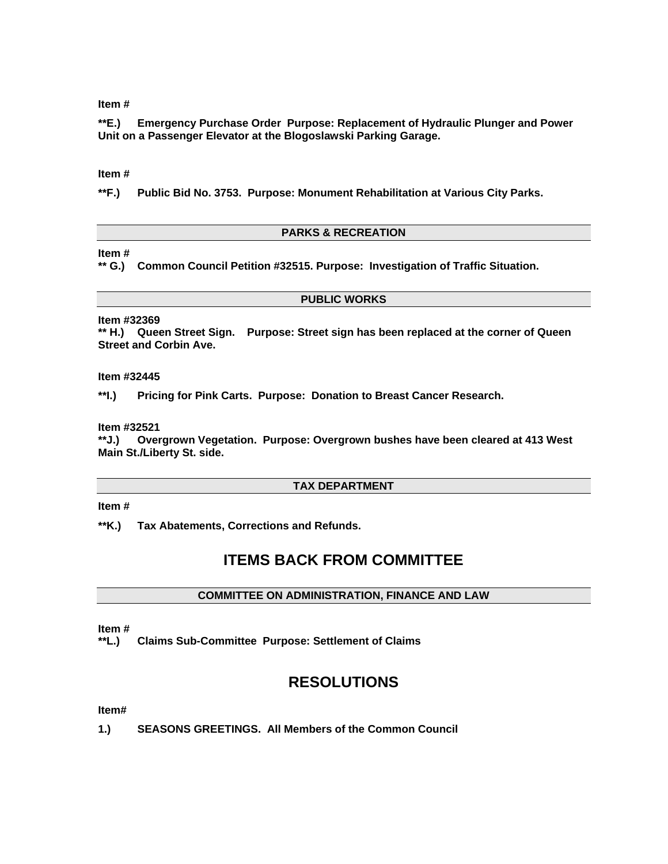## **Item #**

**\*\*E.) Emergency Purchase Order Purpose: Replacement of Hydraulic Plunger and Power Unit on a Passenger Elevator at the Blogoslawski Parking Garage.** 

#### **Item #**

**\*\*F.) Public Bid No. 3753. Purpose: Monument Rehabilitation at Various City Parks.** 

## **PARKS & RECREATION**

## **Item #**

**\*\* G.) Common Council Petition #32515. Purpose: Investigation of Traffic Situation.** 

#### **PUBLIC WORKS**

**Item #32369** 

**\*\* H.) Queen Street Sign. Purpose: Street sign has been replaced at the corner of Queen Street and Corbin Ave.** 

**Item #32445** 

**\*\*I.) Pricing for Pink Carts. Purpose: Donation to Breast Cancer Research.** 

**Item #32521** 

Overgrown Vegetation. Purpose: Overgrown bushes have been cleared at 413 West **Main St./Liberty St. side.** 

## **TAX DEPARTMENT**

#### **Item #**

**\*\*K.) Tax Abatements, Corrections and Refunds.** 

## **ITEMS BACK FROM COMMITTEE**

#### **COMMITTEE ON ADMINISTRATION, FINANCE AND LAW**

#### **Item #**

**\*\*L.) Claims Sub-Committee Purpose: Settlement of Claims** 

# **RESOLUTIONS**

#### **Item#**

**1.) SEASONS GREETINGS. All Members of the Common Council**